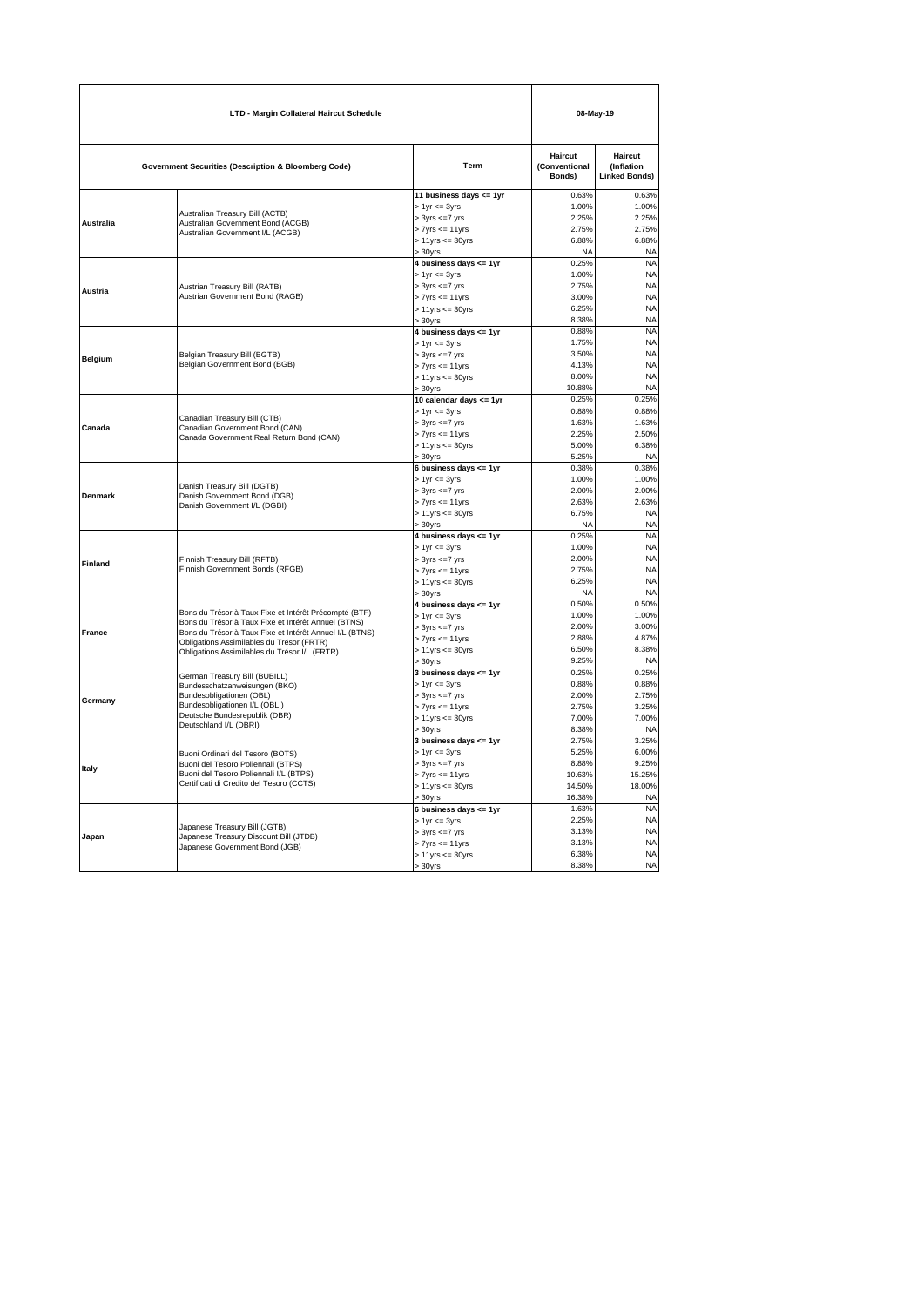| LTD - Margin Collateral Haircut Schedule                                                                           |                                                                                                                                                                                                                                                                       |                                                                                                                                            |                                                        | 08-May-19                                                                  |  |
|--------------------------------------------------------------------------------------------------------------------|-----------------------------------------------------------------------------------------------------------------------------------------------------------------------------------------------------------------------------------------------------------------------|--------------------------------------------------------------------------------------------------------------------------------------------|--------------------------------------------------------|----------------------------------------------------------------------------|--|
|                                                                                                                    | <b>Government Securities (Description &amp; Bloomberg Code)</b>                                                                                                                                                                                                       | Term                                                                                                                                       | Haircut<br>(Conventional<br>Bonds)                     | Haircut<br><b>(Inflation</b><br><b>Linked Bonds)</b>                       |  |
| Australia                                                                                                          | Australian Treasury Bill (ACTB)<br>Australian Government Bond (ACGB)<br>Australian Government I/L (ACGB)                                                                                                                                                              | 11 business days <= 1yr<br>$> 1$ yr $<= 3$ yrs<br>$> 3yrs \leq -7yrs$<br>$> 7yrs \leq 11yrs$<br>$> 11$ yrs $<= 30$ yrs<br>$-30$ vrs        | 0.63%<br>1.00%<br>2.25%<br>2.75%<br>6.88%<br>NA        | 0.63%<br>1.00%<br>2.25%<br>2.75%<br>6.88%<br><b>NA</b>                     |  |
| Austria                                                                                                            | Austrian Treasury Bill (RATB)<br>Austrian Government Bond (RAGB)                                                                                                                                                                                                      | 4 business days <= 1yr<br>$> 1$ yr $<= 3$ yrs<br>$>$ 3yrs $\lt=7$ yrs<br>$> 7yrs \leq 11yrs$<br>$> 11$ yrs $<= 30$ yrs<br>$> 30$ yrs       | 0.25%<br>1.00%<br>2.75%<br>3.00%<br>6.25%<br>8.38%     | <b>NA</b><br><b>NA</b><br><b>NA</b><br><b>NA</b><br><b>NA</b><br><b>NA</b> |  |
| <b>Belgium</b>                                                                                                     | Belgian Treasury Bill (BGTB)<br>Belgian Government Bond (BGB)                                                                                                                                                                                                         | 4 business days <= 1yr<br>$> 1$ yr $\leq$ 3yrs<br>$>$ 3yrs $\lt=7$ yrs<br>$> 7yrs \leq 11yrs$<br>$> 11$ yrs $<= 30$ yrs<br>$-30$ vrs       | 0.88%<br>1.75%<br>3.50%<br>4.13%<br>8.00%<br>10.88%    | <b>NA</b><br><b>NA</b><br><b>NA</b><br><b>NA</b><br><b>NA</b><br><b>NA</b> |  |
| Canada                                                                                                             | Canadian Treasury Bill (CTB)<br>Canadian Government Bond (CAN)<br>Canada Government Real Return Bond (CAN)                                                                                                                                                            | 10 calendar days <= 1yr<br>$> 1yr \leq 3yrs$<br>$>$ 3yrs $<=7$ yrs<br>$> 7$ yrs $<= 11$ yrs<br>$> 11$ yrs $<= 30$ yrs<br>> 30yrs           | 0.25%<br>0.88%<br>1.63%<br>2.25%<br>5.00%<br>5.25%     | 0.25%<br>0.88%<br>1.63%<br>2.50%<br>6.38%<br><b>NA</b>                     |  |
| <b>Denmark</b>                                                                                                     | Danish Treasury Bill (DGTB)<br>Danish Government Bond (DGB)<br>Danish Government I/L (DGBI)                                                                                                                                                                           | 6 business days <= 1yr<br>$> 1$ yr $\leq$ 3yrs<br>$>$ 3yrs $\lt = 7$ yrs<br>$> 7$ yrs $<= 11$ yrs<br>$> 11$ yrs $<= 30$ yrs<br>30yrs       | 0.38%<br>1.00%<br>2.00%<br>2.63%<br>6.75%<br><b>NA</b> | 0.38%<br>1.00%<br>2.00%<br>2.63%<br><b>NA</b><br><b>NA</b>                 |  |
| Finland                                                                                                            | Finnish Treasury Bill (RFTB)<br>Finnish Government Bonds (RFGB)                                                                                                                                                                                                       | 4 business days <= 1yr<br>$> 1$ yr $\leq$ 3yrs<br>$> 3yrs \leq 7yrs$<br>$> 7yrs \leq 11yrs$<br>$> 11$ yrs $<= 30$ yrs<br>$>30$ yrs         | 0.25%<br>1.00%<br>2.00%<br>2.75%<br>6.25%<br><b>NA</b> | <b>NA</b><br><b>NA</b><br><b>NA</b><br><b>NA</b><br><b>NA</b><br><b>NA</b> |  |
| France                                                                                                             | Bons du Trésor à Taux Fixe et Intérêt Précompté (BTF)<br>Bons du Trésor à Taux Fixe et Intérêt Annuel (BTNS)<br>Bons du Trésor à Taux Fixe et Intérêt Annuel I/L (BTNS)<br>Obligations Assimilables du Trésor (FRTR)<br>Obligations Assimilables du Trésor I/L (FRTR) | 4 business days <= 1yr<br>$> 1yr \leq 3yrs$<br>$>$ 3yrs $\lt = 7$ yrs<br>$> 7yrs \leq 11yrs$<br>$> 11$ yrs $<= 30$ yrs<br>$>30$ yrs        | 0.50%<br>1.00%<br>2.00%<br>2.88%<br>6.50%<br>9.25%     | 0.50%<br>1.00%<br>3.00%<br>4.87%<br>8.38%<br><b>NA</b>                     |  |
| Germany                                                                                                            | German Treasury Bill (BUBILL)<br>Bundesschatzanweisungen (BKO)<br>Bundesobligationen (OBL)<br>Bundesobligationen I/L (OBLI)<br>Deutsche Bundesrepublik (DBR)<br>Deutschland I/L (DBRI)                                                                                | 3 business days <= 1yr<br>$> 1$ yr $<= 3$ yrs<br>$> 3yrs \leq -7yrs$<br>$> 7yrs \leq 11yrs$<br>$> 11$ yrs $<= 30$ yrs<br>$>30$ yrs         | 0.25%<br>0.88%<br>2.00%<br>2.75%<br>7.00%<br>8.38%     | 0.25%<br>0.88%<br>2.75%<br>3.25%<br>7.00%<br><b>NA</b>                     |  |
| Italy                                                                                                              | Buoni Ordinari del Tesoro (BOTS)<br>Buoni del Tesoro Poliennali (BTPS)<br>Buoni del Tesoro Poliennali I/L (BTPS)<br>Certificati di Credito del Tesoro (CCTS)                                                                                                          | 3 business days <= 1yr<br>$> 1$ yr $<= 3$ yrs<br>$> 3yrs \leq -7yrs$<br>$> 7$ yrs $<= 11$ yrs<br>$> 11$ yrs $<= 30$ yrs<br>$.30$ yrs       | 2.75%<br>5.25%<br>8.88%<br>10.63%<br>14.50%<br>16.38%  | 3.25%<br>6.00%<br>9.25%<br>15.25%<br>18.00%<br><b>NA</b>                   |  |
| Japanese Treasury Bill (JGTB)<br>Japanese Treasury Discount Bill (JTDB)<br>Japan<br>Japanese Government Bond (JGB) |                                                                                                                                                                                                                                                                       | 6 business days $\leq$ = 1yr<br>$> 1$ yr $\leq$ 3yrs<br>$> 3yrs \leq -7yrs$<br>$> 7yrs \leq 11yrs$<br>$> 11$ yrs $<= 30$ yrs<br>$> 30$ yrs | 1.63%<br>2.25%<br>3.13%<br>3.13%<br>6.38%<br>8.38%     | <b>NA</b><br><b>NA</b><br><b>NA</b><br><b>NA</b><br><b>NA</b><br><b>NA</b> |  |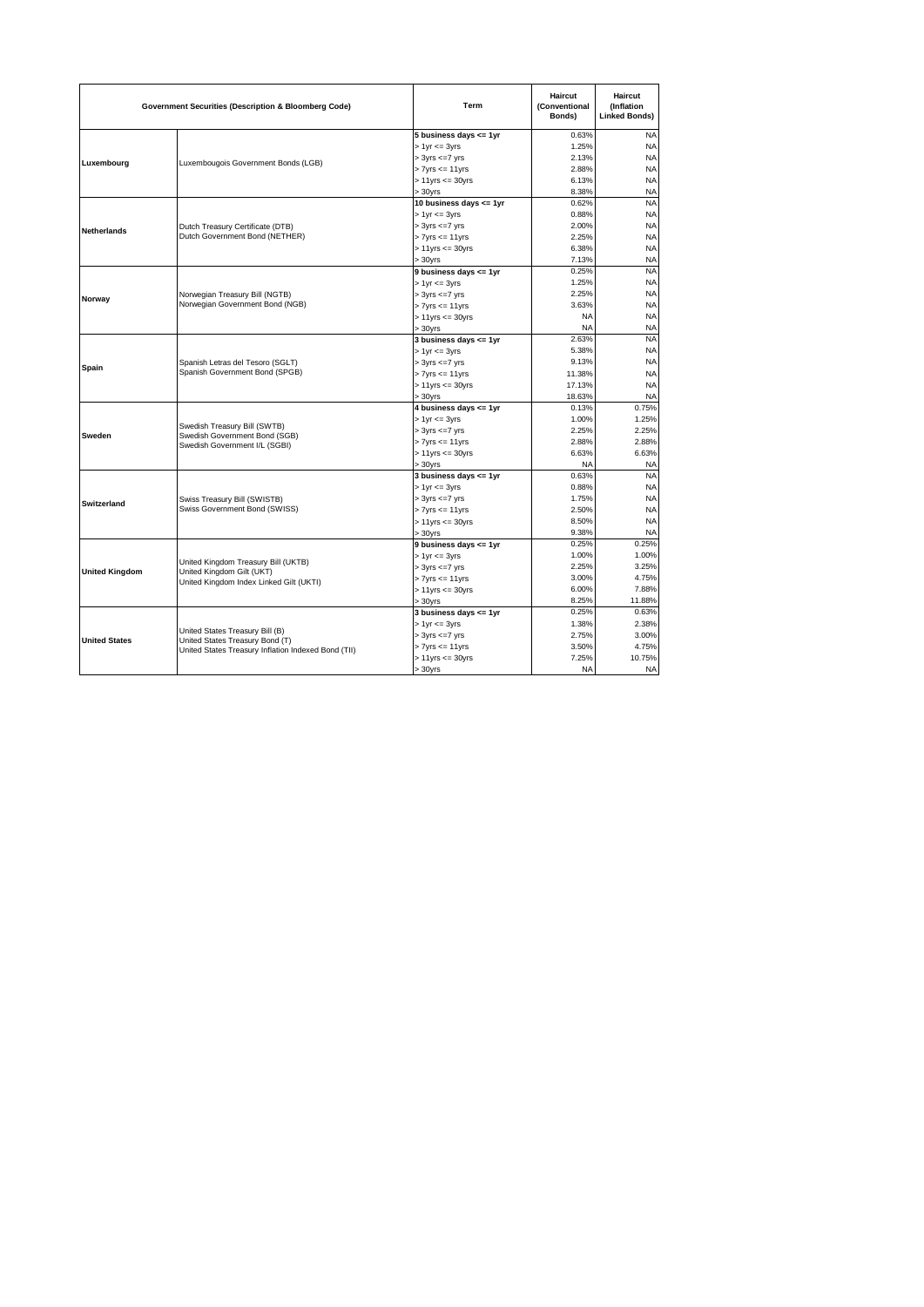|                       | <b>Government Securities (Description &amp; Bloomberg Code)</b>                                                           | Term                       | <b>Haircut</b><br>(Conventional<br>Bonds) | <b>Haircut</b><br><b>(Inflation</b><br><b>Linked Bonds)</b> |
|-----------------------|---------------------------------------------------------------------------------------------------------------------------|----------------------------|-------------------------------------------|-------------------------------------------------------------|
|                       |                                                                                                                           | 5 business days $\leq$ 1yr | 0.63%                                     | <b>NA</b>                                                   |
| Luxembourg            |                                                                                                                           | $> 1$ yr $\leq$ 3yrs       | 1.25%                                     | <b>NA</b>                                                   |
|                       | Luxembougois Government Bonds (LGB)                                                                                       | $> 3yrs \leq -7yrs$        | 2.13%                                     | <b>NA</b>                                                   |
|                       |                                                                                                                           | $> 7yrs \leq 11yrs$        | 2.88%                                     | <b>NA</b>                                                   |
|                       |                                                                                                                           | $> 11$ yrs $<= 30$ yrs     | 6.13%                                     | <b>NA</b>                                                   |
|                       |                                                                                                                           | $>30$ yrs                  | 8.38%                                     | <b>NA</b>                                                   |
|                       |                                                                                                                           | 10 business days <= 1yr    | 0.62%                                     | <b>NA</b>                                                   |
|                       |                                                                                                                           | $> 1$ yr $\leq$ 3yrs       | 0.88%                                     | <b>NA</b>                                                   |
| <b>Netherlands</b>    | Dutch Treasury Certificate (DTB)                                                                                          | $>$ 3yrs $\lt = 7$ yrs     | 2.00%                                     | <b>NA</b>                                                   |
|                       | Dutch Government Bond (NETHER)                                                                                            | $> 7yrs \leq 11yrs$        | 2.25%                                     | <b>NA</b>                                                   |
|                       |                                                                                                                           | $> 11$ yrs $<= 30$ yrs     | 6.38%                                     | <b>NA</b>                                                   |
|                       |                                                                                                                           | $>30$ vrs                  | 7.13%                                     | <b>NA</b>                                                   |
|                       |                                                                                                                           | 9 business days <= 1yr     | 0.25%                                     | <b>NA</b>                                                   |
|                       |                                                                                                                           | $> 1$ yr $\leq$ 3yrs       | 1.25%                                     | <b>NA</b>                                                   |
| Norway                | Norwegian Treasury Bill (NGTB)                                                                                            | $> 3yrs \leq -7yrs$        | 2.25%                                     | <b>NA</b>                                                   |
|                       | Norwegian Government Bond (NGB)                                                                                           | $> 7yrs \leq 11yrs$        | 3.63%                                     | <b>NA</b>                                                   |
|                       |                                                                                                                           | $> 11$ yrs <= 30yrs        | <b>NA</b>                                 | <b>NA</b>                                                   |
|                       |                                                                                                                           | $> 30$ yrs                 | <b>NA</b>                                 | <b>NA</b>                                                   |
|                       |                                                                                                                           | 3 business days $\leq$ 1yr | 2.63%                                     | <b>NA</b>                                                   |
|                       | Spanish Letras del Tesoro (SGLT)<br>Spanish Government Bond (SPGB)                                                        | $> 1yr \leq 3yrs$          | 5.38%                                     | <b>NA</b>                                                   |
| Spain                 |                                                                                                                           | $> 3yrs \leq 7yrs$         | 9.13%                                     | <b>NA</b>                                                   |
|                       |                                                                                                                           | $> 7yrs \leq 11yrs$        | 11.38%                                    | <b>NA</b>                                                   |
|                       |                                                                                                                           | $> 11$ yrs $<= 30$ yrs     | 17.13%                                    | <b>NA</b>                                                   |
|                       |                                                                                                                           | $> 30$ yrs                 | 18.63%                                    | <b>NA</b>                                                   |
|                       |                                                                                                                           | 4 business days <= 1yr     | 0.13%                                     | 0.75%                                                       |
|                       |                                                                                                                           | $> 1$ yr $\leq$ 3yrs       | 1.00%                                     | 1.25%                                                       |
| Sweden                | Swedish Treasury Bill (SWTB)<br>Swedish Government Bond (SGB)                                                             | $> 3yrs \leq -7yrs$        | 2.25%                                     | 2.25%                                                       |
|                       | Swedish Government I/L (SGBI)                                                                                             | $> 7yrs \leq 11yrs$        | 2.88%                                     | 2.88%                                                       |
|                       |                                                                                                                           | $> 11$ yrs $<= 30$ yrs     | 6.63%                                     | 6.63%                                                       |
|                       |                                                                                                                           | $> 30$ yrs                 | <b>NA</b>                                 | <b>NA</b>                                                   |
|                       |                                                                                                                           | 3 business days $\leq$ 1yr | 0.63%                                     | <b>NA</b>                                                   |
|                       |                                                                                                                           | $> 1$ yr $\leq$ 3yrs       | 0.88%                                     | <b>NA</b>                                                   |
| <b>Switzerland</b>    | Swiss Treasury Bill (SWISTB)<br>Swiss Government Bond (SWISS)                                                             | $> 3yrs \leq -7yrs$        | 1.75%                                     | <b>NA</b>                                                   |
|                       |                                                                                                                           | $> 7yrs \leq 11yrs$        | 2.50%                                     | <b>NA</b>                                                   |
|                       |                                                                                                                           | $> 11$ yrs $<= 30$ yrs     | 8.50%                                     | <b>NA</b>                                                   |
|                       |                                                                                                                           | $>30$ yrs                  | 9.38%                                     | <b>NA</b>                                                   |
|                       |                                                                                                                           | 9 business days $\leq$ 1yr | 0.25%                                     | 0.25%                                                       |
|                       | United Kingdom Treasury Bill (UKTB)<br>United Kingdom Gilt (UKT)<br>United Kingdom Index Linked Gilt (UKTI)               | $> 1yr \leq 3yrs$          | 1.00%                                     | 1.00%                                                       |
| <b>United Kingdom</b> |                                                                                                                           | $> 3yrs \leq -7yrs$        | 2.25%                                     | 3.25%                                                       |
|                       |                                                                                                                           | $> 7yrs \leq 11yrs$        | 3.00%                                     | 4.75%                                                       |
|                       |                                                                                                                           | $> 11$ yrs $<= 30$ yrs     | 6.00%                                     | 7.88%                                                       |
|                       |                                                                                                                           | $> 30$ yrs                 | 8.25%                                     | 11.88%                                                      |
|                       |                                                                                                                           | 3 business days $\leq$ 1yr | 0.25%                                     | 0.63%                                                       |
|                       |                                                                                                                           | $> 1$ yr $\leq$ 3yrs       | 1.38%                                     | 2.38%                                                       |
| <b>United States</b>  | United States Treasury Bill (B)<br>United States Treasury Bond (T)<br>United States Treasury Inflation Indexed Bond (TII) | $>$ 3yrs $\lt = 7$ yrs     | 2.75%                                     | 3.00%                                                       |
|                       |                                                                                                                           | $> 7yrs \leq 11yrs$        | 3.50%                                     | 4.75%                                                       |
|                       |                                                                                                                           | $> 11$ yrs $<= 30$ yrs     | 7.25%                                     | 10.75%                                                      |
|                       |                                                                                                                           | $>30$ yrs                  | <b>NA</b>                                 | <b>NA</b>                                                   |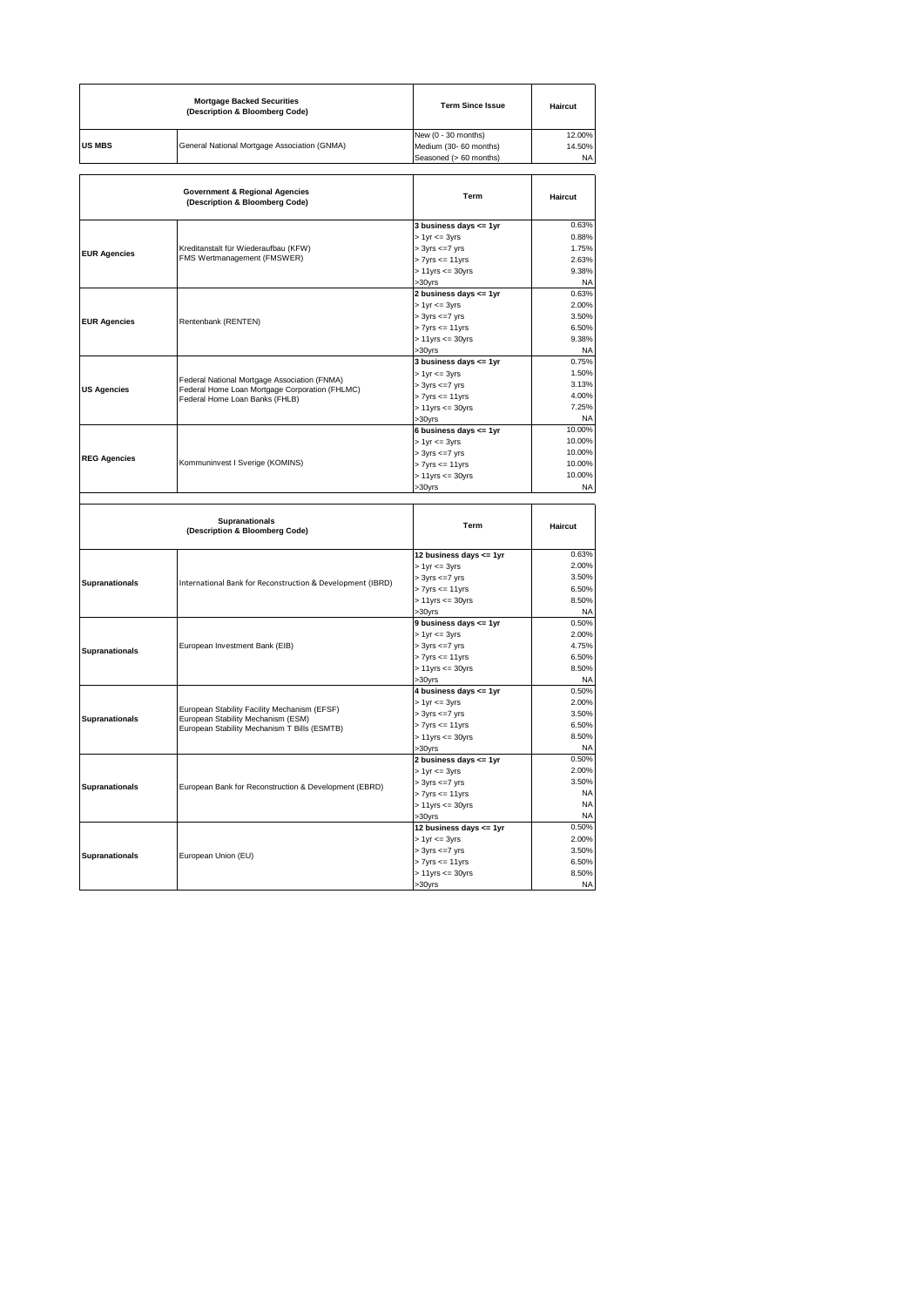|                                                  | <b>Mortgage Backed Securities</b><br>(Description & Bloomberg Code)                                                                | <b>Term Since Issue</b>                                                                                                          | Haircut                                                     |
|--------------------------------------------------|------------------------------------------------------------------------------------------------------------------------------------|----------------------------------------------------------------------------------------------------------------------------------|-------------------------------------------------------------|
| <b>US MBS</b>                                    | General National Mortgage Association (GNMA)                                                                                       | New (0 - 30 months)<br>Medium (30- 60 months)<br>Seasoned (> 60 months)                                                          | 12.00%<br>14.50%<br><b>NA</b>                               |
|                                                  | <b>Government &amp; Regional Agencies</b><br>(Description & Bloomberg Code)                                                        | Term                                                                                                                             | Haircut                                                     |
| <b>EUR Agencies</b>                              | Kreditanstalt für Wiederaufbau (KFW)<br>FMS Wertmanagement (FMSWER)                                                                | 3 business days <= 1yr<br>$> 1$ yr $<= 3$ yrs<br>$> 3yrs \leq 7yrs$<br>$> 7yrs \leq 11yrs$<br>$> 11$ yrs $<= 30$ yrs<br>>30yrs   | 0.63%<br>0.88%<br>1.75%<br>2.63%<br>9.38%<br><b>NA</b>      |
| <b>EUR Agencies</b>                              | Rentenbank (RENTEN)                                                                                                                | 2 business days <= 1yr<br>$> 1$ yr $= 3$ yrs<br>$> 3yrs \leq -7yrs$<br>$> 7$ yrs $<= 11$ yrs<br>> 11yrs <= 30yrs<br>>30yrs       | 0.63%<br>2.00%<br>3.50%<br>6.50%<br>9.38%<br><b>NA</b>      |
| <b>US Agencies</b>                               | Federal National Mortgage Association (FNMA)<br>Federal Home Loan Mortgage Corporation (FHLMC)<br>Federal Home Loan Banks (FHLB)   | 3 business days <= 1yr<br>$> 1$ yr $<= 3$ yrs<br>> 3yrs <= 7 yrs<br>$> 7yrs \le 11yrs$<br>$> 11$ yrs $<= 30$ yrs<br>>30yrs       | 0.75%<br>1.50%<br>3.13%<br>4.00%<br>7.25%<br><b>NA</b>      |
| <b>REG Agencies</b>                              | Kommuninvest I Sverige (KOMINS)                                                                                                    | 6 business days <= 1yr<br>$> 1$ yr $<= 3$ yrs<br>$> 3yrs \leq 7yrs$<br>$> 7$ yrs $<= 11$ yrs<br>$> 11$ yrs $<= 30$ yrs<br>>30yrs | 10.00%<br>10.00%<br>10.00%<br>10.00%<br>10.00%<br><b>NA</b> |
|                                                  | <b>Supranationals</b><br>(Description & Bloomberg Code)                                                                            | Term                                                                                                                             | Haircut                                                     |
| Supranationals                                   | International Bank for Reconstruction & Development (IBRD)                                                                         | 12 business days <= 1yr<br>$> 1$ yr $<= 3$ yrs<br>$> 3yrs \le 7yrs$<br>$> 7yrs \le 11yrs$<br>$> 11$ yrs $<= 30$ yrs<br>>30vrs    | 0.63%<br>2.00%<br>3.50%<br>6.50%<br>8.50%<br><b>NA</b>      |
| European Investment Bank (EIB)<br>Supranationals |                                                                                                                                    | 9 business days <= 1yr<br>$> 1$ yr $<= 3$ yrs<br>$> 3yrs \leq 7yrs$<br>$> 7yrs \le 11yrs$<br>$> 11$ yrs $<= 30$ yrs<br>>30yrs    | 0.50%<br>2.00%<br>4.75%<br>6.50%<br>8.50%<br><b>NA</b>      |
| <b>Supranationals</b>                            | European Stability Facility Mechanism (EFSF)<br>European Stability Mechanism (ESM)<br>European Stability Mechanism T Bills (ESMTB) | 4 business days <= 1yr<br>$> 1$ yr $<= 3$ yrs<br>$>$ 3yrs $\leq$ =7 yrs<br>> 7yrs <= 11yrs<br>$> 11$ yrs $<= 30$ yrs<br>>30yrs   | 0.50%<br>2.00%<br>3.50%<br>6.50%<br>8.50%<br><b>NA</b>      |
| <b>Supranationals</b>                            | European Bank for Reconstruction & Development (EBRD)                                                                              | 2 business days <= 1yr<br>> 1yr <= 3yrs<br>$> 3yrs \leq -7yrs$<br>$> 7yrs \le 11yrs$<br>$> 11$ yrs $<= 30$ yrs                   | 0.50%<br>2.00%<br>3.50%<br><b>NA</b><br><b>NA</b>           |
|                                                  |                                                                                                                                    | >30yrs                                                                                                                           | <b>NA</b>                                                   |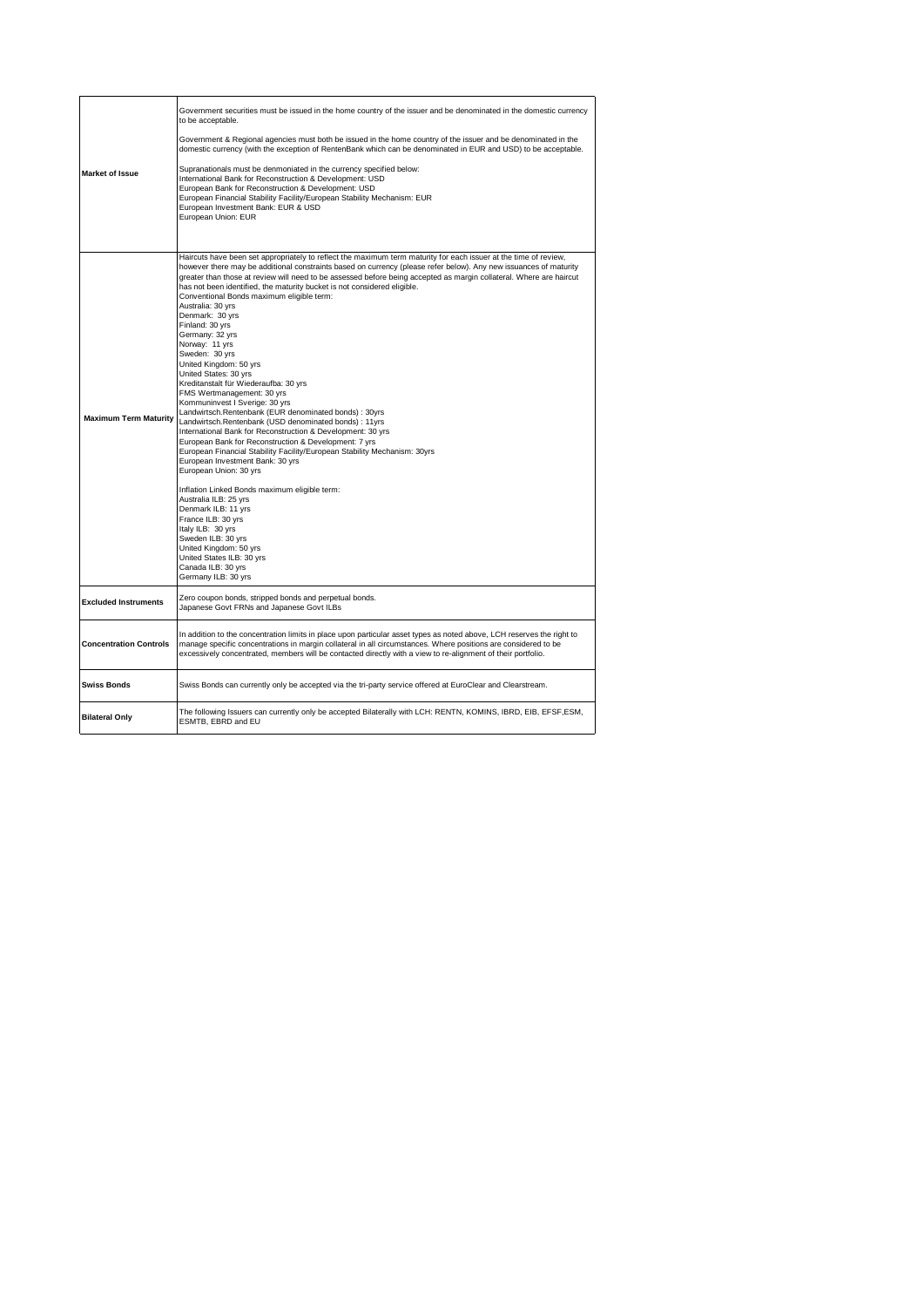| <b>Market of Issue</b>        | Government securities must be issued in the home country of the issuer and be denominated in the domestic currency<br>to be acceptable.<br>Government & Regional agencies must both be issued in the home country of the issuer and be denominated in the<br>domestic currency (with the exception of RentenBank which can be denominated in EUR and USD) to be acceptable.<br>Supranationals must be denmoniated in the currency specified below:<br>International Bank for Reconstruction & Development: USD<br>European Bank for Reconstruction & Development: USD<br>European Financial Stability Facility/European Stability Mechanism: EUR<br>European Investment Bank: EUR & USD<br>European Union: EUR                                                                                                                                                                                                                                                                                                                                                                                                                                                                                                                                                                                                                                                                                                                   |
|-------------------------------|----------------------------------------------------------------------------------------------------------------------------------------------------------------------------------------------------------------------------------------------------------------------------------------------------------------------------------------------------------------------------------------------------------------------------------------------------------------------------------------------------------------------------------------------------------------------------------------------------------------------------------------------------------------------------------------------------------------------------------------------------------------------------------------------------------------------------------------------------------------------------------------------------------------------------------------------------------------------------------------------------------------------------------------------------------------------------------------------------------------------------------------------------------------------------------------------------------------------------------------------------------------------------------------------------------------------------------------------------------------------------------------------------------------------------------|
| <b>Maximum Term Maturity</b>  | Haircuts have been set appropriately to reflect the maximum term maturity for each issuer at the time of review,<br>however there may be additional constraints based on currency (please refer below). Any new issuances of maturity<br>greater than those at review will need to be assessed before being accepted as margin collateral. Where are haircut<br>has not been identified, the maturity bucket is not considered eligible.<br>Conventional Bonds maximum eligible term:<br>Australia: 30 yrs<br>Denmark: 30 yrs<br>Finland: 30 yrs<br>Germany: 32 yrs<br>Norway: 11 yrs<br>Sweden: 30 yrs<br>United Kingdom: 50 yrs<br>United States: 30 yrs<br>Kreditanstalt für Wiederaufba: 30 yrs<br>FMS Wertmanagement: 30 yrs<br>Kommuninvest I Sverige: 30 yrs<br>Landwirtsch.Rentenbank (EUR denominated bonds) : 30yrs<br>Landwirtsch.Rentenbank (USD denominated bonds) : 11yrs<br>International Bank for Reconstruction & Development: 30 yrs<br>European Bank for Reconstruction & Development: 7 yrs<br>European Financial Stability Facility/European Stability Mechanism: 30yrs<br>European Investment Bank: 30 yrs<br>European Union: 30 yrs<br>Inflation Linked Bonds maximum eligible term:<br>Australia ILB: 25 yrs<br>Denmark ILB: 11 yrs<br>France ILB: 30 yrs<br>Italy ILB: 30 yrs<br>Sweden ILB: 30 yrs<br>United Kingdom: 50 yrs<br>United States ILB: 30 yrs<br>Canada ILB: 30 yrs<br>Germany ILB: 30 yrs |
| <b>Excluded Instruments</b>   | Zero coupon bonds, stripped bonds and perpetual bonds.<br>Japanese Govt FRNs and Japanese Govt ILBs                                                                                                                                                                                                                                                                                                                                                                                                                                                                                                                                                                                                                                                                                                                                                                                                                                                                                                                                                                                                                                                                                                                                                                                                                                                                                                                              |
| <b>Concentration Controls</b> | In addition to the concentration limits in place upon particular asset types as noted above, LCH reserves the right to<br>manage specific concentrations in margin collateral in all circumstances. Where positions are considered to be<br>excessively concentrated, members will be contacted directly with a view to re-alignment of their portfolio.                                                                                                                                                                                                                                                                                                                                                                                                                                                                                                                                                                                                                                                                                                                                                                                                                                                                                                                                                                                                                                                                         |
| <b>Swiss Bonds</b>            | Swiss Bonds can currently only be accepted via the tri-party service offered at EuroClear and Clearstream.                                                                                                                                                                                                                                                                                                                                                                                                                                                                                                                                                                                                                                                                                                                                                                                                                                                                                                                                                                                                                                                                                                                                                                                                                                                                                                                       |
| <b>Bilateral Only</b>         | The following Issuers can currently only be accepted Bilaterally with LCH: RENTN, KOMINS, IBRD, EIB, EFSF,ESM,<br>ESMTB, EBRD and EU                                                                                                                                                                                                                                                                                                                                                                                                                                                                                                                                                                                                                                                                                                                                                                                                                                                                                                                                                                                                                                                                                                                                                                                                                                                                                             |